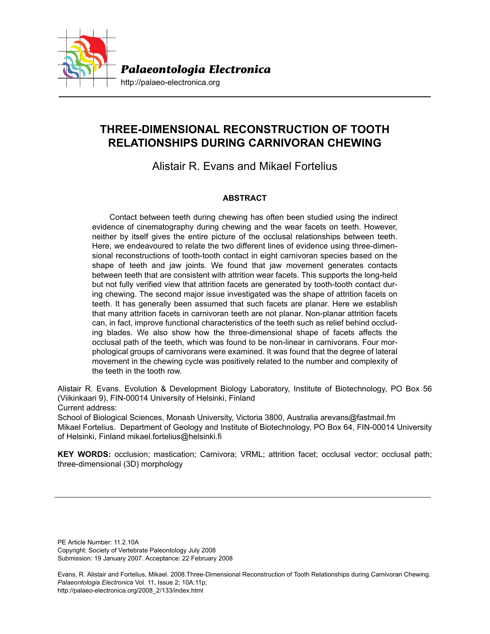

# **THREE-DIMENSIONAL RECONSTRUCTION OF TOOTH RELATIONSHIPS DURING CARNIVORAN CHEWING**

Alistair R. Evans and Mikael Fortelius

# **ABSTRACT**

Contact between teeth during chewing has often been studied using the indirect evidence of cinematography during chewing and the wear facets on teeth. However, neither by itself gives the entire picture of the occlusal relationships between teeth. Here, we endeavoured to relate the two different lines of evidence using three-dimensional reconstructions of tooth-tooth contact in eight carnivoran species based on the shape of teeth and jaw joints. We found that jaw movement generates contacts between teeth that are consistent with attrition wear facets. This supports the long-held but not fully verified view that attrition facets are generated by tooth-tooth contact during chewing. The second major issue investigated was the shape of attrition facets on teeth. It has generally been assumed that such facets are planar. Here we establish that many attrition facets in carnivoran teeth are not planar. Non-planar attrition facets can, in fact, improve functional characteristics of the teeth such as relief behind occluding blades. We also show how the three-dimensional shape of facets affects the occlusal path of the teeth, which was found to be non-linear in carnivorans. Four morphological groups of carnivorans were examined. It was found that the degree of lateral movement in the chewing cycle was positively related to the number and complexity of the teeth in the tooth row.

Alistair R. Evans. Evolution & Development Biology Laboratory, Institute of Biotechnology, PO Box 56 (Viikinkaari 9), FIN-00014 University of Helsinki, Finland

Current address:

School of Biological Sciences, Monash University, Victoria 3800, Australia arevans@fastmail.fm Mikael Fortelius. Department of Geology and Institute of Biotechnology, PO Box 64, FIN-00014 University of Helsinki, Finland mikael.fortelius@helsinki.fi

**KEY WORDS:** occlusion; mastication; Carnivora; VRML; attrition facet; occlusal vector; occlusal path; three-dimensional (3D) morphology

PE Article Number: 11.2.10A Copyright: Society of Vertebrate Paleontology July 2008 Submission: 19 January 2007. Acceptance: 22 February 2008

Evans, R. Alistair and Fortelius, Mikael. 2008.Three-Dimensional Reconstruction of Tooth Relationships during Carnivoran Chewing. *Palaeontologia Electronica* Vol. 11, Issue 2; 10A:11p; http://palaeo-electronica.org/2008\_2/133/index.html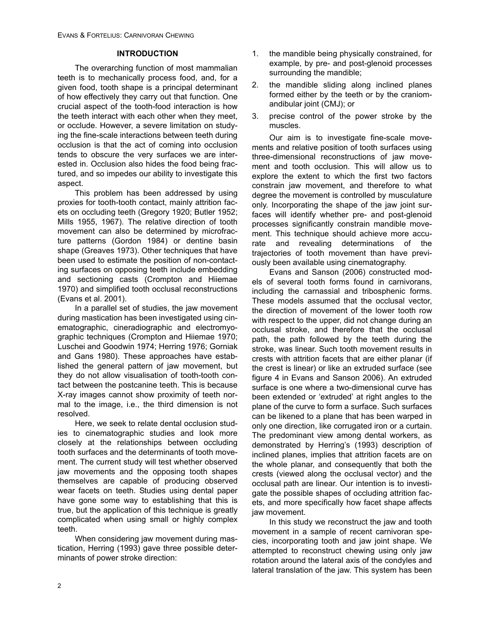### **INTRODUCTION**

The overarching function of most mammalian teeth is to mechanically process food, and, for a given food, tooth shape is a principal determinant of how effectively they carry out that function. One crucial aspect of the tooth-food interaction is how the teeth interact with each other when they meet, or occlude. However, a severe limitation on studying the fine-scale interactions between teeth during occlusion is that the act of coming into occlusion tends to obscure the very surfaces we are interested in. Occlusion also hides the food being fractured, and so impedes our ability to investigate this aspect.

This problem has been addressed by using proxies for tooth-tooth contact, mainly attrition facets on occluding teeth (Gregory 1920; Butler 1952; Mills 1955, 1967). The relative direction of tooth movement can also be determined by microfracture patterns (Gordon 1984) or dentine basin shape (Greaves 1973). Other techniques that have been used to estimate the position of non-contacting surfaces on opposing teeth include embedding and sectioning casts (Crompton and Hiiemae 1970) and simplified tooth occlusal reconstructions (Evans et al. 2001).

In a parallel set of studies, the jaw movement during mastication has been investigated using cinematographic, cineradiographic and electromyographic techniques (Crompton and Hiiemae 1970; Luschei and Goodwin 1974; Herring 1976; Gorniak and Gans 1980). These approaches have established the general pattern of jaw movement, but they do not allow visualisation of tooth-tooth contact between the postcanine teeth. This is because X-ray images cannot show proximity of teeth normal to the image, i.e., the third dimension is not resolved.

Here, we seek to relate dental occlusion studies to cinematographic studies and look more closely at the relationships between occluding tooth surfaces and the determinants of tooth movement. The current study will test whether observed jaw movements and the opposing tooth shapes themselves are capable of producing observed wear facets on teeth. Studies using dental paper have gone some way to establishing that this is true, but the application of this technique is greatly complicated when using small or highly complex teeth.

When considering jaw movement during mastication, Herring (1993) gave three possible determinants of power stroke direction:

- 1. the mandible being physically constrained, for example, by pre- and post-glenoid processes surrounding the mandible;
- 2. the mandible sliding along inclined planes formed either by the teeth or by the craniomandibular joint (CMJ); or
- 3. precise control of the power stroke by the muscles.

Our aim is to investigate fine-scale movements and relative position of tooth surfaces using three-dimensional reconstructions of jaw movement and tooth occlusion. This will allow us to explore the extent to which the first two factors constrain jaw movement, and therefore to what degree the movement is controlled by musculature only. Incorporating the shape of the jaw joint surfaces will identify whether pre- and post-glenoid processes significantly constrain mandible movement. This technique should achieve more accurate and revealing determinations of the trajectories of tooth movement than have previously been available using cinematography.

Evans and Sanson (2006) constructed models of several tooth forms found in carnivorans, including the carnassial and tribosphenic forms. These models assumed that the occlusal vector, the direction of movement of the lower tooth row with respect to the upper, did not change during an occlusal stroke, and therefore that the occlusal path, the path followed by the teeth during the stroke, was linear. Such tooth movement results in crests with attrition facets that are either planar (if the crest is linear) or like an extruded surface (see figure 4 in Evans and Sanson 2006). An extruded surface is one where a two-dimensional curve has been extended or 'extruded' at right angles to the plane of the curve to form a surface. Such surfaces can be likened to a plane that has been warped in only one direction, like corrugated iron or a curtain. The predominant view among dental workers, as demonstrated by Herring's (1993) description of inclined planes, implies that attrition facets are on the whole planar, and consequently that both the crests (viewed along the occlusal vector) and the occlusal path are linear. Our intention is to investigate the possible shapes of occluding attrition facets, and more specifically how facet shape affects jaw movement.

In this study we reconstruct the jaw and tooth movement in a sample of recent carnivoran species, incorporating tooth and jaw joint shape. We attempted to reconstruct chewing using only jaw rotation around the lateral axis of the condyles and lateral translation of the jaw. This system has been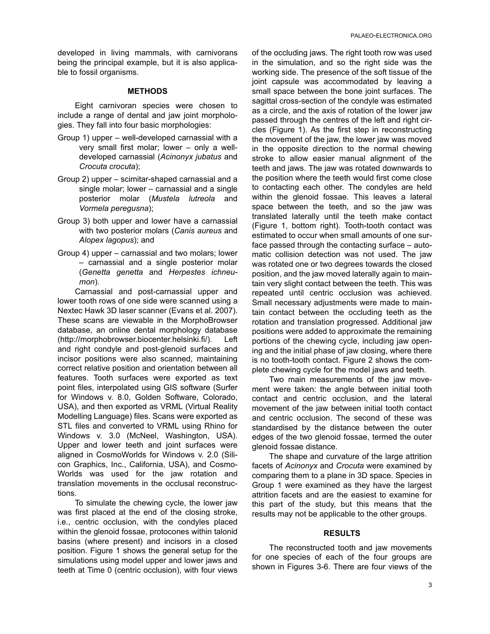developed in living mammals, with carnivorans being the principal example, but it is also applicable to fossil organisms.

#### **METHODS**

Eight carnivoran species were chosen to include a range of dental and jaw joint morphologies. They fall into four basic morphologies:

- Group 1) upper well-developed carnassial with a very small first molar; lower – only a welldeveloped carnassial (*Acinonyx jubatus* and *Crocuta crocuta*);
- Group 2) upper scimitar-shaped carnassial and a single molar; lower – carnassial and a single posterior molar (*Mustela lutreola* and *Vormela peregusna*);
- Group 3) both upper and lower have a carnassial with two posterior molars (*Canis aureus* and *Alopex lagopus*); and
- Group 4) upper carnassial and two molars; lower – carnassial and a single posterior molar (*Genetta genetta* and *Herpestes ichneumon*).

Carnassial and post-carnassial upper and lower tooth rows of one side were scanned using a Nextec Hawk 3D laser scanner (Evans et al. 2007). These scans are viewable in the MorphoBrowser database, an online dental morphology database (http://morphobrowser.biocenter.helsinki.fi/). Left and right condyle and post-glenoid surfaces and incisor positions were also scanned, maintaining correct relative position and orientation between all features. Tooth surfaces were exported as text point files, interpolated using GIS software (Surfer for Windows v. 8.0, Golden Software, Colorado, USA), and then exported as VRML (Virtual Reality Modelling Language) files. Scans were exported as STL files and converted to VRML using Rhino for Windows v. 3.0 (McNeel, Washington, USA). Upper and lower teeth and joint surfaces were aligned in CosmoWorlds for Windows v. 2.0 (Silicon Graphics, Inc., California, USA), and Cosmo-Worlds was used for the jaw rotation and translation movements in the occlusal reconstructions.

To simulate the chewing cycle, the lower jaw was first placed at the end of the closing stroke, i.e., centric occlusion, with the condyles placed within the glenoid fossae, protocones within talonid basins (where present) and incisors in a closed position. Figure 1 shows the general setup for the simulations using model upper and lower jaws and teeth at Time 0 (centric occlusion), with four views

of the occluding jaws. The right tooth row was used in the simulation, and so the right side was the working side. The presence of the soft tissue of the joint capsule was accommodated by leaving a small space between the bone joint surfaces. The sagittal cross-section of the condyle was estimated as a circle, and the axis of rotation of the lower jaw passed through the centres of the left and right circles (Figure 1). As the first step in reconstructing the movement of the jaw, the lower jaw was moved in the opposite direction to the normal chewing stroke to allow easier manual alignment of the teeth and jaws. The jaw was rotated downwards to the position where the teeth would first come close to contacting each other. The condyles are held within the glenoid fossae. This leaves a lateral space between the teeth, and so the jaw was translated laterally until the teeth make contact (Figure 1, bottom right). Tooth-tooth contact was estimated to occur when small amounts of one surface passed through the contacting surface – automatic collision detection was not used. The jaw was rotated one or two degrees towards the closed position, and the jaw moved laterally again to maintain very slight contact between the teeth. This was repeated until centric occlusion was achieved. Small necessary adjustments were made to maintain contact between the occluding teeth as the rotation and translation progressed. Additional jaw positions were added to approximate the remaining portions of the chewing cycle, including jaw opening and the initial phase of jaw closing, where there is no tooth-tooth contact. Figure 2 shows the complete chewing cycle for the model jaws and teeth.

Two main measurements of the jaw movement were taken: the angle between initial tooth contact and centric occlusion, and the lateral movement of the jaw between initial tooth contact and centric occlusion. The second of these was standardised by the distance between the outer edges of the two glenoid fossae, termed the outer glenoid fossae distance.

The shape and curvature of the large attrition facets of *Acinonyx* and *Crocuta* were examined by comparing them to a plane in 3D space. Species in Group 1 were examined as they have the largest attrition facets and are the easiest to examine for this part of the study, but this means that the results may not be applicable to the other groups.

#### **RESULTS**

The reconstructed tooth and jaw movements for one species of each of the four groups are shown in Figures 3-6. There are four views of the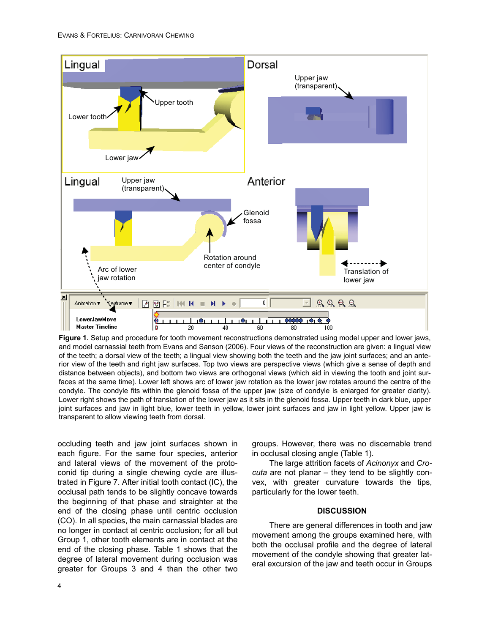

**Figure 1.** Setup and procedure for tooth movement reconstructions demonstrated using model upper and lower jaws, and model carnassial teeth from Evans and Sanson (2006). Four views of the reconstruction are given: a lingual view of the teeth; a dorsal view of the teeth; a lingual view showing both the teeth and the jaw joint surfaces; and an anterior view of the teeth and right jaw surfaces. Top two views are perspective views (which give a sense of depth and distance between objects), and bottom two views are orthogonal views (which aid in viewing the tooth and joint surfaces at the same time). Lower left shows arc of lower jaw rotation as the lower jaw rotates around the centre of the condyle. The condyle fits within the glenoid fossa of the upper jaw (size of condyle is enlarged for greater clarity). Lower right shows the path of translation of the lower jaw as it sits in the glenoid fossa. Upper teeth in dark blue, upper joint surfaces and jaw in light blue, lower teeth in yellow, lower joint surfaces and jaw in light yellow. Upper jaw is transparent to allow viewing teeth from dorsal.

occluding teeth and jaw joint surfaces shown in each figure. For the same four species, anterior and lateral views of the movement of the protoconid tip during a single chewing cycle are illustrated in Figure 7. After initial tooth contact (IC), the occlusal path tends to be slightly concave towards the beginning of that phase and straighter at the end of the closing phase until centric occlusion (CO). In all species, the main carnassial blades are no longer in contact at centric occlusion; for all but Group 1, other tooth elements are in contact at the end of the closing phase. Table 1 shows that the degree of lateral movement during occlusion was greater for Groups 3 and 4 than the other two groups. However, there was no discernable trend in occlusal closing angle (Table 1).

The large attrition facets of *Acinonyx* and *Crocuta* are not planar – they tend to be slightly convex, with greater curvature towards the tips, particularly for the lower teeth.

## **DISCUSSION**

There are general differences in tooth and jaw movement among the groups examined here, with both the occlusal profile and the degree of lateral movement of the condyle showing that greater lateral excursion of the jaw and teeth occur in Groups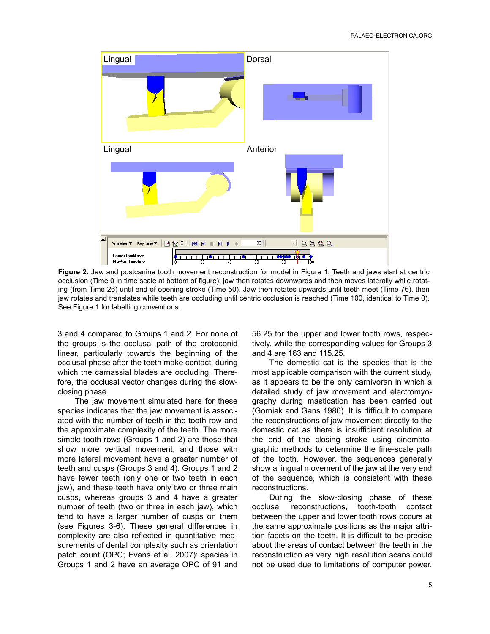

**Figure 2.** Jaw and postcanine tooth movement reconstruction for model in Figure 1. Teeth and jaws start at centric occlusion (Time 0 in time scale at bottom of figure); jaw then rotates downwards and then moves laterally while rotating (from Time 26) until end of opening stroke (Time 50). Jaw then rotates upwards until teeth meet (Time 76), then jaw rotates and translates while teeth are occluding until centric occlusion is reached (Time 100, identical to Time 0). See Figure 1 for labelling conventions.

3 and 4 compared to Groups 1 and 2. For none of the groups is the occlusal path of the protoconid linear, particularly towards the beginning of the occlusal phase after the teeth make contact, during which the carnassial blades are occluding. Therefore, the occlusal vector changes during the slowclosing phase.

The jaw movement simulated here for these species indicates that the jaw movement is associated with the number of teeth in the tooth row and the approximate complexity of the teeth. The more simple tooth rows (Groups 1 and 2) are those that show more vertical movement, and those with more lateral movement have a greater number of teeth and cusps (Groups 3 and 4). Groups 1 and 2 have fewer teeth (only one or two teeth in each jaw), and these teeth have only two or three main cusps, whereas groups 3 and 4 have a greater number of teeth (two or three in each jaw), which tend to have a larger number of cusps on them (see Figures 3-6). These general differences in complexity are also reflected in quantitative measurements of dental complexity such as orientation patch count (OPC; Evans et al. 2007): species in Groups 1 and 2 have an average OPC of 91 and

56.25 for the upper and lower tooth rows, respectively, while the corresponding values for Groups 3 and 4 are 163 and 115.25.

The domestic cat is the species that is the most applicable comparison with the current study, as it appears to be the only carnivoran in which a detailed study of jaw movement and electromyography during mastication has been carried out (Gorniak and Gans 1980). It is difficult to compare the reconstructions of jaw movement directly to the domestic cat as there is insufficient resolution at the end of the closing stroke using cinematographic methods to determine the fine-scale path of the tooth. However, the sequences generally show a lingual movement of the jaw at the very end of the sequence, which is consistent with these reconstructions.

During the slow-closing phase of these occlusal reconstructions, tooth-tooth contact between the upper and lower tooth rows occurs at the same approximate positions as the major attrition facets on the teeth. It is difficult to be precise about the areas of contact between the teeth in the reconstruction as very high resolution scans could not be used due to limitations of computer power.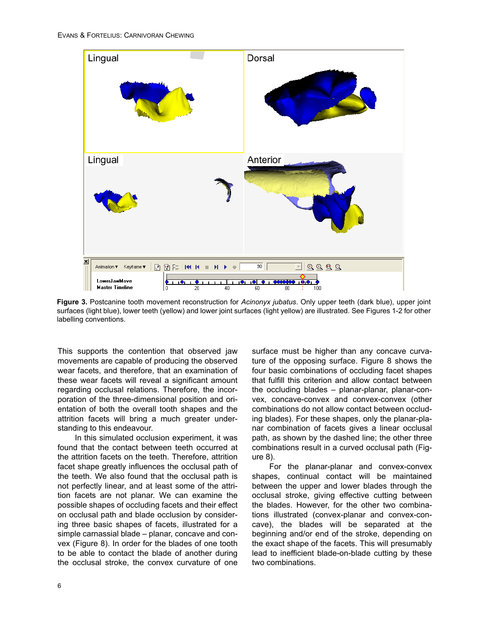

**Figure 3.** Postcanine tooth movement reconstruction for *Acinonyx jubatus*. Only upper teeth (dark blue), upper joint surfaces (light blue), lower teeth (yellow) and lower joint surfaces (light yellow) are illustrated. See Figures 1-2 for other labelling conventions.

This supports the contention that observed jaw movements are capable of producing the observed wear facets, and therefore, that an examination of these wear facets will reveal a significant amount regarding occlusal relations. Therefore, the incorporation of the three-dimensional position and orientation of both the overall tooth shapes and the attrition facets will bring a much greater understanding to this endeavour.

In this simulated occlusion experiment, it was found that the contact between teeth occurred at the attrition facets on the teeth. Therefore, attrition facet shape greatly influences the occlusal path of the teeth. We also found that the occlusal path is not perfectly linear, and at least some of the attrition facets are not planar. We can examine the possible shapes of occluding facets and their effect on occlusal path and blade occlusion by considering three basic shapes of facets, illustrated for a simple carnassial blade – planar, concave and convex (Figure 8). In order for the blades of one tooth to be able to contact the blade of another during the occlusal stroke, the convex curvature of one

surface must be higher than any concave curvature of the opposing surface. Figure 8 shows the four basic combinations of occluding facet shapes that fulfill this criterion and allow contact between the occluding blades – planar-planar, planar-convex, concave-convex and convex-convex (other combinations do not allow contact between occluding blades). For these shapes, only the planar-planar combination of facets gives a linear occlusal path, as shown by the dashed line; the other three combinations result in a curved occlusal path (Figure 8).

For the planar-planar and convex-convex shapes, continual contact will be maintained between the upper and lower blades through the occlusal stroke, giving effective cutting between the blades. However, for the other two combinations illustrated (convex-planar and convex-concave), the blades will be separated at the beginning and/or end of the stroke, depending on the exact shape of the facets. This will presumably lead to inefficient blade-on-blade cutting by these two combinations.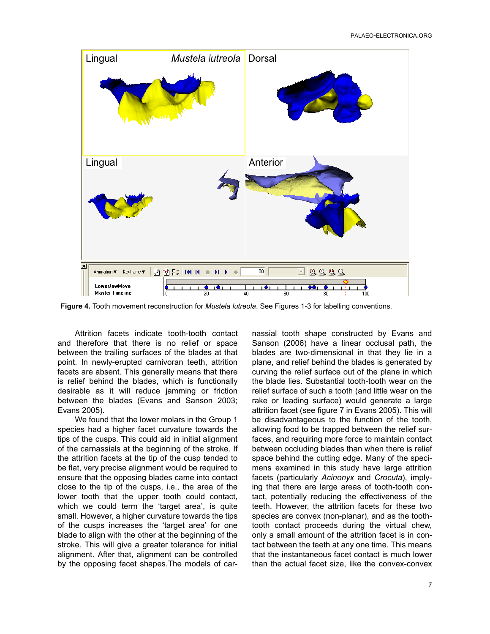

**Figure 4.** Tooth movement reconstruction for *Mustela lutreola*. See Figures 1-3 for labelling conventions.

Attrition facets indicate tooth-tooth contact and therefore that there is no relief or space between the trailing surfaces of the blades at that point. In newly-erupted carnivoran teeth, attrition facets are absent. This generally means that there is relief behind the blades, which is functionally desirable as it will reduce jamming or friction between the blades (Evans and Sanson 2003; Evans 2005).

We found that the lower molars in the Group 1 species had a higher facet curvature towards the tips of the cusps. This could aid in initial alignment of the carnassials at the beginning of the stroke. If the attrition facets at the tip of the cusp tended to be flat, very precise alignment would be required to ensure that the opposing blades came into contact close to the tip of the cusps, i.e., the area of the lower tooth that the upper tooth could contact, which we could term the 'target area', is quite small. However, a higher curvature towards the tips of the cusps increases the 'target area' for one blade to align with the other at the beginning of the stroke. This will give a greater tolerance for initial alignment. After that, alignment can be controlled by the opposing facet shapes.The models of carnassial tooth shape constructed by Evans and Sanson (2006) have a linear occlusal path, the blades are two-dimensional in that they lie in a plane, and relief behind the blades is generated by curving the relief surface out of the plane in which the blade lies. Substantial tooth-tooth wear on the relief surface of such a tooth (and little wear on the rake or leading surface) would generate a large attrition facet (see figure 7 in Evans 2005). This will be disadvantageous to the function of the tooth, allowing food to be trapped between the relief surfaces, and requiring more force to maintain contact between occluding blades than when there is relief space behind the cutting edge. Many of the specimens examined in this study have large attrition facets (particularly *Acinonyx* and *Crocuta*), implying that there are large areas of tooth-tooth contact, potentially reducing the effectiveness of the teeth. However, the attrition facets for these two species are convex (non-planar), and as the toothtooth contact proceeds during the virtual chew, only a small amount of the attrition facet is in contact between the teeth at any one time. This means that the instantaneous facet contact is much lower than the actual facet size, like the convex-convex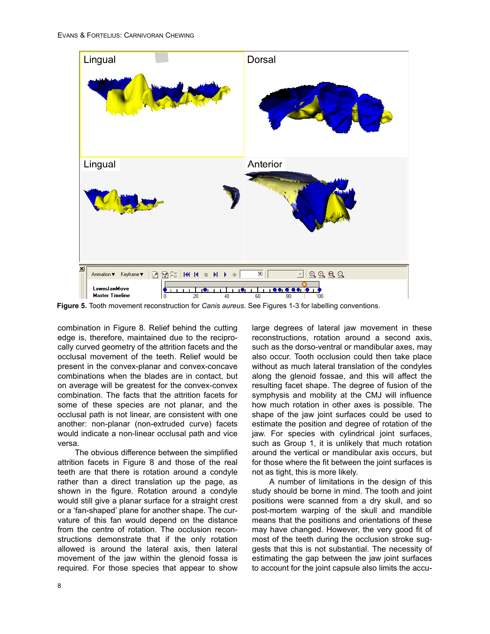

**Figure 5.** Tooth movement reconstruction for *Canis aureus*. See Figures 1-3 for labelling conventions.

combination in Figure 8. Relief behind the cutting edge is, therefore, maintained due to the reciprocally curved geometry of the attrition facets and the occlusal movement of the teeth. Relief would be present in the convex-planar and convex-concave combinations when the blades are in contact, but on average will be greatest for the convex-convex combination. The facts that the attrition facets for some of these species are not planar, and the occlusal path is not linear, are consistent with one another: non-planar (non-extruded curve) facets would indicate a non-linear occlusal path and vice versa.

The obvious difference between the simplified attrition facets in Figure 8 and those of the real teeth are that there is rotation around a condyle rather than a direct translation up the page, as shown in the figure. Rotation around a condyle would still give a planar surface for a straight crest or a 'fan-shaped' plane for another shape. The curvature of this fan would depend on the distance from the centre of rotation. The occlusion reconstructions demonstrate that if the only rotation allowed is around the lateral axis, then lateral movement of the jaw within the glenoid fossa is required. For those species that appear to show

large degrees of lateral jaw movement in these reconstructions, rotation around a second axis, such as the dorso-ventral or mandibular axes, may also occur. Tooth occlusion could then take place without as much lateral translation of the condyles along the glenoid fossae, and this will affect the resulting facet shape. The degree of fusion of the symphysis and mobility at the CMJ will influence how much rotation in other axes is possible. The shape of the jaw joint surfaces could be used to estimate the position and degree of rotation of the jaw. For species with cylindrical joint surfaces, such as Group 1, it is unlikely that much rotation around the vertical or mandibular axis occurs, but for those where the fit between the joint surfaces is not as tight, this is more likely.

A number of limitations in the design of this study should be borne in mind. The tooth and joint positions were scanned from a dry skull, and so post-mortem warping of the skull and mandible means that the positions and orientations of these may have changed. However, the very good fit of most of the teeth during the occlusion stroke suggests that this is not substantial. The necessity of estimating the gap between the jaw joint surfaces to account for the joint capsule also limits the accu-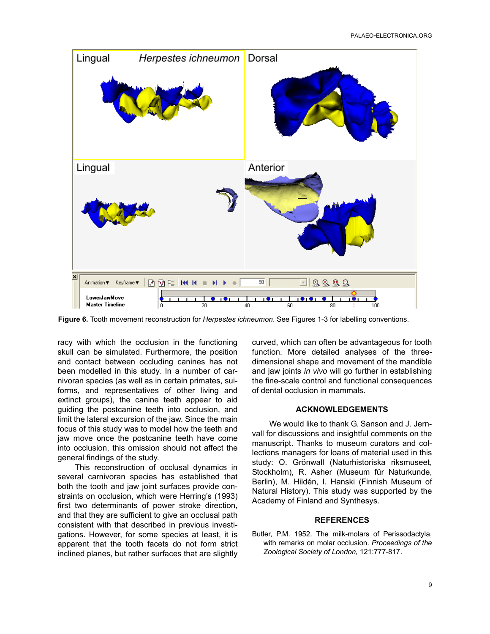

**Figure 6.** Tooth movement reconstruction for *Herpestes ichneumon*. See Figures 1-3 for labelling conventions.

racy with which the occlusion in the functioning skull can be simulated. Furthermore, the position and contact between occluding canines has not been modelled in this study. In a number of carnivoran species (as well as in certain primates, suiforms, and representatives of other living and extinct groups), the canine teeth appear to aid guiding the postcanine teeth into occlusion, and limit the lateral excursion of the jaw. Since the main focus of this study was to model how the teeth and jaw move once the postcanine teeth have come into occlusion, this omission should not affect the general findings of the study.

This reconstruction of occlusal dynamics in several carnivoran species has established that both the tooth and jaw joint surfaces provide constraints on occlusion, which were Herring's (1993) first two determinants of power stroke direction, and that they are sufficient to give an occlusal path consistent with that described in previous investigations. However, for some species at least, it is apparent that the tooth facets do not form strict inclined planes, but rather surfaces that are slightly

curved, which can often be advantageous for tooth function. More detailed analyses of the threedimensional shape and movement of the mandible and jaw joints *in vivo* will go further in establishing the fine-scale control and functional consequences of dental occlusion in mammals.

#### **ACKNOWLEDGEMENTS**

We would like to thank G. Sanson and J. Jernvall for discussions and insightful comments on the manuscript. Thanks to museum curators and collections managers for loans of material used in this study: O. Grönwall (Naturhistoriska riksmuseet, Stockholm), R. Asher (Museum für Naturkunde, Berlin), M. Hildén, I. Hanski (Finnish Museum of Natural History). This study was supported by the Academy of Finland and Synthesys.

#### **REFERENCES**

Butler, P.M. 1952. The milk-molars of Perissodactyla, with remarks on molar occlusion. *Proceedings of the Zoological Society of London,* 121:777-817.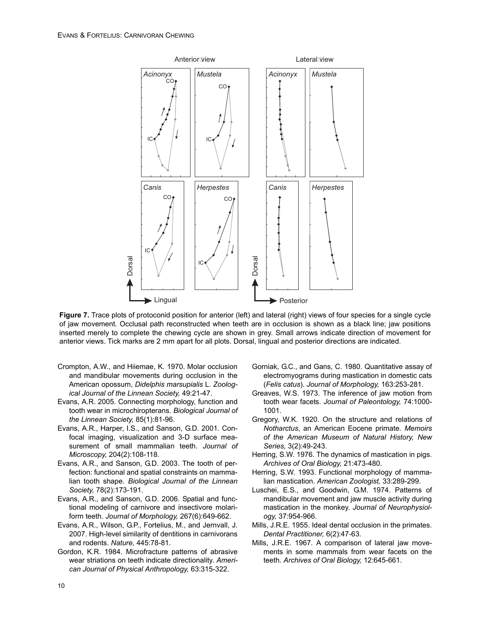*Acinonyx Mustela Canis Herpestes* Acinonyx | Mustela *Canis Herpestes* Anterior view **Lateral** view **Lingual** Dorsal **Posterior** Dorsal IC CO IC CO IC CO<sub>1</sub> IC CO

**Figure 7.** Trace plots of protoconid position for anterior (left) and lateral (right) views of four species for a single cycle of jaw movement. Occlusal path reconstructed when teeth are in occlusion is shown as a black line; jaw positions inserted merely to complete the chewing cycle are shown in grey. Small arrows indicate direction of movement for anterior views. Tick marks are 2 mm apart for all plots. Dorsal, lingual and posterior directions are indicated.

- Crompton, A.W., and Hiiemae, K. 1970. Molar occlusion and mandibular movements during occlusion in the American opossum, *Didelphis marsupialis* L. *Zoological Journal of the Linnean Society,* 49:21-47.
- Evans, A.R. 2005. Connecting morphology, function and tooth wear in microchiropterans. *Biological Journal of the Linnean Society,* 85(1):81-96.
- Evans, A.R., Harper, I.S., and Sanson, G.D. 2001. Confocal imaging, visualization and 3-D surface measurement of small mammalian teeth. *Journal of Microscopy,* 204(2):108-118.
- Evans, A.R., and Sanson, G.D. 2003. The tooth of perfection: functional and spatial constraints on mammalian tooth shape. *Biological Journal of the Linnean Society,* 78(2):173-191.
- Evans, A.R., and Sanson, G.D. 2006. Spatial and functional modeling of carnivore and insectivore molariform teeth. *Journal of Morphology,* 267(6):649-662.
- Evans, A.R., Wilson, G.P., Fortelius, M., and Jernvall, J. 2007. High-level similarity of dentitions in carnivorans and rodents. *Nature,* 445:78-81.
- Gordon, K.R. 1984. Microfracture patterns of abrasive wear striations on teeth indicate directionality. *American Journal of Physical Anthropology,* 63:315-322.
- Gorniak, G.C., and Gans, C. 1980. Quantitative assay of electromyograms during mastication in domestic cats (*Felis catus*). *Journal of Morphology,* 163:253-281.
- Greaves, W.S. 1973. The inference of jaw motion from tooth wear facets. *Journal of Paleontology,* 74:1000- 1001.
- Gregory, W.K. 1920. On the structure and relations of *Notharctus*, an American Eocene primate. *Memoirs of the American Museum of Natural History, New Series,* 3(2):49-243.
- Herring, S.W. 1976. The dynamics of mastication in pigs. *Archives of Oral Biology,* 21:473-480.
- Herring, S.W. 1993. Functional morphology of mammalian mastication. *American Zoologist,* 33:289-299.
- Luschei, E.S., and Goodwin, G.M. 1974. Patterns of mandibular movement and jaw muscle activity during mastication in the monkey. *Journal of Neurophysiology,* 37:954-966.
- Mills, J.R.E. 1955. Ideal dental occlusion in the primates. *Dental Practitioner,* 6(2):47-63.
- Mills, J.R.E. 1967. A comparison of lateral jaw movements in some mammals from wear facets on the teeth. *Archives of Oral Biology,* 12:645-661.